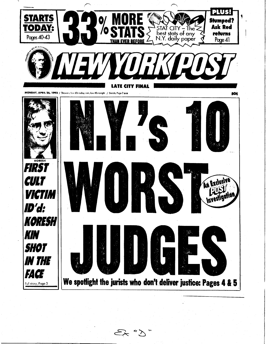

 $6.75$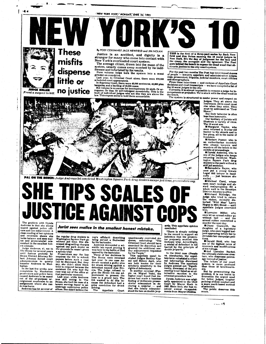

smiled.<br>
I Michael Curcl, whose since<br>
open court ravings and ab-<br>
smiled.<br>
The Brooklyn<br>
and malayrophisms fill a<br>
District Attorney's office.<br>
I Richard Rutledge, the<br>
judge who tried to return<br>
turbed "Wild Man" Larry<br>

 $\frac{1}{2}$  both aine miner, who<br>once let an armed robber go<br>without bail – and the<br>armed robber committed a

a muder the next day.<br>
muder the next day.<br>
<br> **Channel Character of a legendary**<br>
duage, who once begged law-<br>
yers appearing before her to<br>
dirculate her campaign peti-<br>
tions.

circulate her campaign petitions.<br>
the campaign petitions.<br>
Gerald Held, who has<br>
one of the highest rates of<br>
reversals and modifications<br>
of his rulings.<br>
and Lorratine Backal,<br>
the ultimate clubhouse creations.<br>
The fal

ers.<br>
The by personalizing the problem, it is our intent to dramatize the urgent need<br>
for better judges, tougher policing of their conduct and<br>
note a more merit-based method of pelicino.<br>
The public deserves this much.

the regular drug dealers in<br>Washington Square Park go<br>without jail time. She dis-<br>missed drug-selling charges<br>against one park dealer on<br>the grounds he wasn't given<br>a sneedy trial. est mistake.<br>
The Brows for several years and the until furious protesta by<br>
until furious protesta by<br>
Bronx District Attorney Robert<br>
bert Johnson forced court<br>
administrators to quielly<br>
transfer Andrews to Man-<br>
hattan

**FICE A**I

**JUST** 

The problem with Dynda Andrews is that she seems<br>biased against police officers<br>consider and law enforcement. A<br>close reading of her opinions

and reversals shows she<br>and reversals shows she<br>lacks balance and sees mal-<br>tee and prosecutorial mis-<br>conduct in the smallest hon-<br>est mistake.

transfer Andrews to Man-<br>hattan.<br>In the last few weeks, new<br>complicints by Manhattan.<br>prosecutors and police have<br>caused Andrews to be eased<br>out of the all-purpose ar-<br>raignment curiroom to an analyzed assignment where she

 $-4 +$ 

Judge Andrews, 47, sat in the grounds he wasn't given<br>include Andrews, 47, sat in the grounds he wasn't given<br>mutil furtions prodests by Prosecutors say the law<br>first Athorney Rober Town (being the most proper state betwee

cop's affidavit describing<br>being served a Budwelser<br>by the bartender. Andrews demanded a set-

Jurist sees malice in the smallest honest mistake.

GAIN!

entific lab report proving it<br>was beer in the bottle of Bud<br>was beer in the bottle of Bud<br>opened by the bartender.

Three of her decisions in<br>Three of her decisions in<br>Three of her decisions in<br>last year. In one case An-<br>drews vacated a guilty plea<br>defendant named Jose Riv-<br>era. The judge refused to<br>gain the grand jury. The<br>gain is give

manimously overruled Andrews, concluding:<br>
The control of the control of the exercised is discretion and<br>
reading and discretion and the properties by the People.<br>
This appellate panel included Judges Bendey Kashed This ap

H

ardy. This appellate opinion<br>concluded: "There is simply nothing<br>in the record to support an

in the record to support and<br>herence that the prosecu-<br>tor purposely scuttled this<br>inchoate trial. Accordingly,<br>a retrial of defendant is not<br>barred by the principle of<br>double jcopardy." double jeoparay."<br>
In the third case (People<br>
In the third case (People<br>
late term reinstated a crimi-<br>
had information dismissed<br>
by Andrews. The appellate<br>
by Andrews. The appellate<br>
cased in the case of the pro-<br>
termat

criminal procedure law.<br>
Dynda Andrews was origi-<br>
Daur by Mayor Koch in<br>
1987. Since then, she has re-<br>
ceived annual re-appoint-<br>
ments from Mayor Dinkins.

وي.<br>وفي المواجه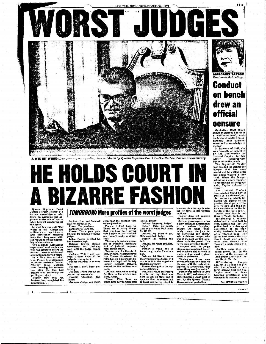

A WEE BIT WEIRD: Lawyers say many rulings handed down by Queens Supreme Court Justice Herbert Posner are arbitrary.



**TOMORROW:** More profiles of the worst judges

Justice Herbert Posner is a former assemblyman who<br>takes an assembly-line ap-<br>proach to the rule of law --when he's not wandering off<br>the bench.

when he's not wandering off<br>the bench.<br>In what lawyers call "The<br>Booth of Pox", rulings are<br>arbitrary and capricious --<br>and sometimes rendered<br>from the robing room with-<br>out regard to what's happen-<br>out regard to what's ha

argued over testimony re-<br>garding an injury.<br>Posner: Now that Mr.<br>Jackson has completed his summation..

đ

Jackson: I am not finished Jackson, a am not imi<br>with my summation.<br>Posner: Yes, you have.<br>Jackson: No. I am not.

Posner: That's your punshment for arguing with the

judge.<br>Later, Posner decided he had heard enough.<br>Defense lawyer Steven<br>Greenfield: Mr. Jackson,<br>wait until the judge comes

back back.<br>Jackson: Well, I will proceed. I don't know if the

judge is coming back.<br>Posner returned a minute later.

nter:<br>Posner: I don't hear you talking.<br>Jackson: There was an ob-

jection that was made.<br>Posner: Objection sus-

tained. Jackson: Judge, you didn't

even hear the question that

even hear the question that<br>was objected to.<br>Posner: I don't have to.<br>There are so many things<br>that I object to, that another<br>one doesn't make a differ-<br>one doesn't make a differ-

ence.<br>The story is just one exam-

The story is just one exam-<br>ple of Posner's legendary<br>hack of judicial tempera-<br>ment on the bench.<br>Transcripts of a March 16,<br>1988, criminal hearing shows<br>but pless that the related to<br>raise ball on a defendant be-<br>lawyer, tions.

tous.<br>DeLuca: Well, we're asking<br>for time to file written mo-<br>tions, Judge.<br>Posner: Fine. Take as

rosner: Fine. Take as<br>much time as you want. Bail

is set at \$10,000.

BeLuca: I'm sorry, Judge?<br>
Posner: Take as much<br>
time as you want. Bail is set<br>
for \$10,000.

DeLaca: My client is out.<br>He's made bail, Judge.<br>Posner: I'm raising the ball

an.<br>DeLuca: On what grounds, Judge?<br>Posner: If you'd like to<br>know the grounds, file a mo-

tion.<br>DeLuca: I'd like to know

DeLuca: 1 d like to smow<br>the grounds now, Judge, so I<br>can take it to the Appellate<br>Division correctly.<br>Posner: Go right to the Appellate Division.

pellate Division.<br>DeLuca: I want the record<br>to note that my client was<br>here at 9:30 on time and it<br>appears that the reason ball<br>is being set on my client is

moment does not reserve<br>his viriol for lawyers.<br>Homer does not reserve<br>his veral years ago — when<br>a jury acquitted a defendant<br>on a services burglein property<br>childer in the property of the property with was at the post-ve matters of personal hygiene<br>while on the bench.

while on the bench.<br>Touring one of my cases<br>he had two tissues stuffed up<br>his nose, with the ends atick-<br>ing out," a lawyer said. "The<br>whole thing was just muty."<br>Somer was elected to Civil<br>state Supreme Court materials

state Supreme Court post in<br>1981 by the Queens County<br>Democratic organization.



\*\* 5

**Conduct** on bench drew an official censure

Judge Margaret Taylor is<br>a well-intentioned, scatter-brained misfit who spparently lacks common<br>sense and a knowledge of<br>the law.

was formally admonished<br>by the Commission on<br>Judicial Conduct for her

Judicial Conduct for her wildly<br>wildly inappropriate<br>the sheaven of The 64-year-old Taylor<br>mas scolded for telling one<br>hawayer that her case<br>would not be called until<br>the case would not be called unit<br>trial. When the lawye

to record this bullying epicometric complements of complex comply.<br>
sode, Taylor refused to comply.<br>
The Judicial Conduct Commission found Taylor<br>
The Judicial Commission found Taylor<br>
parties, the dignity of the parties,

dow.<br>Another judge then im<br>posed \$50,000 bail on the suspect, at the request of<br>then-Bronx District Attor-

then-Bronx District Attor-<br>
mey Mario Merola.<br>
Biblishing charges<br>
against a 14-year-old girl<br>
who had offered to per-<br>
form sexual acts for \$10.<br>
Taylor ruled that laws banning prostitution and consensual sodomy were

See TAYLOR on Page 15

.<br>ساندىسىسى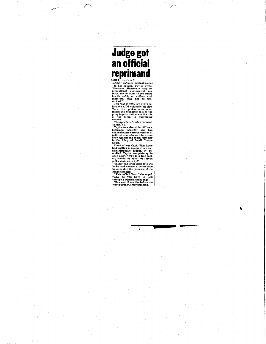## **CONTROLL SET AND SERVED SERVED SERVED AND SERVED SERVICES (THE APPLIFICITED AND SERVED THE CONTROLL THE CONTROLL THE CONTROLL THE SERVED SERVED SERVED SERVED SERVED SERVED THE APPLIFICITED THE APPLIFICITED THE APPLIFICIT**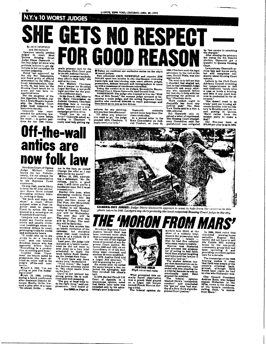**N.Y.'s 10 WORST JUDGES AND RESIDENCE** 

E GETS NO RESPECT

By JACK NEWFIELD and JIM NOI AN ond JIM NO(1AN<br>Lawyers usually petition<br>Judges In court. Meet<br>Judge Diane Gasworth —<br>Judge Diane Gasworth —<br>petitions lawyers to get sig-<br>petitions lawyers to get sig-<br>natures in her campaign for<br>another judgeship.

priftions lawyers to get aigentions lawyers to get aigent<br>antures in her campaign for<br>matures in her campaign for<br>and found guilty of official<br>the city Bar Association,<br>and found guilty of official<br>count Administration, Ga

er court -- to gather peti-<br>ons for her 1990 Demo-

cratic primar

F

cratic primary race for the Manhattan Civil Court post<br>in the Manhattan Civil Court post<br>in the Manhattan Civil Court post<br>in the Total Manhattan District.<br>The order the Help, is here the Buby of the Manhattan Bubyer for

**ff** Today we continue our exclusive series on the city's<br>
10 worst judges.<br>
Post columist JACK NEWFIELD and reporter JIM<br>
Post columist JACK NEWFIELD and reporter JIM<br>
NOLAN spent two months in city count officers, judges

Gasworth

natures for my petitions.<br>Are you free this afternoon?<br>"Til drive you wherever<br>you want to go," the judge<br>pleaded with Chachere, "I<br>really need your help." needed more help than Chachere could offer chere could offer.<br>In a second letter to the<br>State Commission on Judi-<br>cial Conduct, on June 21,

DR GOOD RI

case, Gerald Wisla, was also<br>approached.<br>The went on to tell me that<br>I shouldn't feel singled out,<br>that he had witnessed Judge<br>Gasworth ask every attor-<br>ney who appeared before<br>the her that day to help with her<br>petitioning

EAS

evidently

fice," Chachere wrote.<br>"Such conduct ought to<br>disqualify her from any<br>judicial post," The New<br>York Times said in a Nov. 1, 1990, editorial.

1990. Chachere said his legal adversary in the rent-strike<br>case, Gerald Wisla, was also

1990, editorial.<br>But Gasworth only re-<br>ceived a letter of reprimand.<br>The Housing Court Disciplinary Committee said her<br>punishment was mitigated

by "her candor in admitting<br>After winning the primary<br>After winning the primary<br>but losing the 9th District<br>election, Gasworth got a<br>transfer to Queens Housing Court.

Lawyers say Gasworth arrives late and leaves early,<br>but still complains constantly about Housing Court volume.

Letters to the Civil Court<br>Advisory Council reviewing<br>her reappointment in 1989<br>said Gasworth "rarely tries states or holds a hearing,<br>and little if any court busi-<br>ness is conducted in the af-<br>ternoon."

ernoon.<br>
"She doesn't want to do<br>
triala," said one housing ad-<br>
vocate familiar with her his-<br>
tory in Brooklyn and her recent posting in Queens.<br>"She'd rather force the weaker party to make a  $den<sup>2</sup>$ 

Her five-year term . at \$79,000 per year is up in 1994.

54

B

## Off-the-wall antics are now folk law

Brooklyn Court of Claims<br>udge Michael Curci Judge Michael Curci<br>knows the law. Unfortunately, it's not always the I Curci<br>Unfortumain topic of conversation<br>in his Supreme Court

In his Supreme Court<br>courtroom.<br>Contains and the stream of the street of the street<br>the street of the street colonel<br>discussing military histo-<br>discussing military histo-<br>ry, cooking or Italy.<br>"Sit back and enjoy the<br>show,

porter went to observe<br>Curci in action. He was<br>treated to a monologue on<br>Frederick II and Italy.

Lawyers and court per-<br>sonnel say Curci's eccen-<br>tricity and usually irrele-

tricity and usually irrelevant<br>vant rambings cause tre-<br>mendous delays in court,<br>mendous delays in court,<br>and motions for hours.<br>"It could take up to six<br>weeks to do a two-day<br>who has welves<br>for the series of a specific ap tion, so norming gets done."<br>
Consider these "Curcled by<br>
Isms" (as they're called by<br>
prosecutors who have de-<br>
yidge's off-the-wall com-<br>
ludge's off-the-wall com-

ments).

ments).<br>
Whypril 2, 1993: "I'm not<br>
yelling at you! I'm holler-<br>
ing at you!"<br>
Whyprime at you!"<br>
during a bench conference<br>
after Assistant District Attere Assistant District At-<br>torney Emilio Grillo low-<br>ered a plea offer in a case:<br>"Go ahead, Grillo...slap

me in the face, go ahead!<br>Change the offer so I can

Change the otter so i can<br>defecate in my pants"<br> **Change the otter so i can**<br>
defecate in my pants"<br> **Example 2.** 10, 1992, address-<br>
ordnas, youre a good<br>
man. I still think you're a food<br>
handsome man. But I must<br>
lead

See CURCI on Page 14

From Buyer and Held has<br>Justice Gerald Held has<br>been reversed more often<br>the has one of the light<br>He has one of the light<br>preme Court justice.<br>Preme Court justice.<br>Here also and 1992, an ex-<br>treen 1988 and 1992, an ex-<br>tre tween 1988 and 1992, an ex-<br>tracordinary 21 of his deci-<br>slons were reversed and<br>another 13 were modified.<br>In 1976, Justice Held told<br>a Legal Ald attorney, "T<br>blue guning for you."<br>Six weeks later, he called<br>the same lawye

In 1979, the 2nd Circuit U.S. In 1979, the 2nd Circuit U.S.<br>Court of Appeals, in a<br>unamimous opinion, noted<br>that Held's "poor taste was<br>exceeded only by his aston-<br>ishingly poor judgment,"



What prompted this unsually harsh observation<br>was a prank Held played<br>on a Legal Aid lawyer<br>named Frank Marcus dur-<br>ins a trial

ing a trial.<br>The federal opinion de-

stribed how Held, at the school of a rober trial, and the prosecutor into announcing — falsely — that he had five rebuttal almounting — raisely —<br>that he had flue rebuttal<br>witnesses ready to testify.<br>Marcus was fluenced.<br>In Marcus was fluenced.<br>For of acting in bad faith.<br>Held then started laughing<br>and informed the lawyer it<br>was all a "put-on.

preme Court justice.

In 1986, Held ruled that<br>convicted nursing-home convicted nursing-home<br>swindler Eugene Hol-<br>lander did not have to sell<br>his Cobble Hill nursing nome to the non-profit<br>community group that had<br>been operating it and<br>providing excellent patient<br>care for a decade.

The transcript of the 1986<br>hearing makes it clear<br>that Held was aware of the<br>owner's criminal back-<br>ground, although Held<br>would later claim he had<br>no clue who Hollander was.

City Council President<br>Andrew Stein, who helped<br>Andrew Stein, who helped<br>trapose Hollander in the<br>1970s, came to the defense<br>of the home's residents,<br>from Mars."



**CAMERA-SHY JURIST:** Judge Diane Gasworth appears to want to hide from the cameras in this photo taken in 1989. Lawyers say she's probably the least-respected Housing Court judge in the city.

**HE 'MORON FROM MARS'**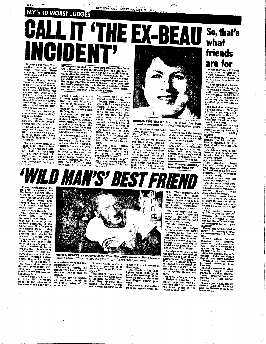NEW YORK POST, WEDNESDAY, APRIL 28, 1993

CALL IT 'THE EX-BEAU H  $\vert \hspace{-0.2cm} \vert \hspace{-0.2cm} \vert \hspace{-0.2cm} \vert \hspace{-0.2cm} \vert \hspace{-0.2cm} \vert \hspace{-0.2cm} \vert \hspace{-0.2cm} \vert \hspace{-0.2cm} \vert \hspace{-0.2cm} \vert \hspace{-0.2cm} \vert \hspace{-0.2cm} \vert \hspace{-0.2cm} \vert \hspace{-0.2cm} \vert \hspace{-0.2cm} \vert \hspace{-0.2cm} \vert \hspace{-0.2cm} \vert \hspace{-0.2cm} \vert \hspace{-0.2cm} \vert \hspace{-0.2cm} \vert \hspace{-0.2cm}$ FI Brooklyn Supreme Court

Justice Lorraine Miller<br>made headlines three made neadlines unree<br>weeks ago when an upstate<br>judge accused her of ha-

rassing him.<br>Putnam County Justice<br>Barret Hickman has com-Barret Hickman has com-<br>plained to several law-en-<br>forcement agencies that<br>the 64-year-old Miller has<br>staked him, written pol-<br>som-pen letters, canceled<br>his credit cards, and even<br>after their four-year low-<br>after their fou

"She has an obsessive-<br>compulsive personality,"<br>Hickman told us.<br>The Putnam County<br>sheriff's office is investigating Millen's conduct.

Rating white: scontinue,<br>The allegations may or<br>may not be proven true.<br>But they come as no aur-<br>prise to those who have<br>studied Miller's career on<br>the hand. the bench.

the bench,<br>
She has a reputation as a<br>
shough judge. But in June<br>
1932, Miller released with-<br>
out ball a teen-ager<br>
oharged with armed rob-<br>
bery — and the next day,<br>
the boy murdered a sub-<br>
wave massenger during a way passenger during a

**Example on three-part series on New York**<br>City's 10 worst judges. But it's also just the beginning.<br>The series is the culmination of a two-month Post in-<br>vestigation by columnist JACK NEWFIELD and re-<br>porter JIM NOLAN int

Then-Brooklyn District<br>Attorney Elizabeth Holtz-<br>man accused Miller of<br>"accling in an unconscion-<br>able and irresponsible<br>McCray, 16.<br>McCray, 16.<br>Holtzman said her office<br>was preparing to file an in-

Folizman said her office<br>an in-<br>was preparing to file an in-<br>dictiment against McCray<br>when Miller released him,<br>mistakenly thinking the<br>ment had expired. In fact,<br>it had three bours to go.<br>The indictionation of the file of

The indictment had been The mucument nau oeen<br>
McCray's co-defendant<br>
had exercised his right to<br>
testify before a grand jury.<br>
The theory of the set testify before a grand jury.<br>Less than 24 hours after<br>Miller let McCray walk, he<br>was arrested for the mur-<br>der of Joseph Kester at a<br>subway station in East<br>New York. McCray was<br>convicted of murder in

siveness and you have an

"I won't try to explain<br>"I won't try to explain<br>why you have it. Myself of<br>all people, being of the<br>same race.

*attitude.* 

steptember 1983, and sensitive the September 1983, and sensitive Minch Toward Hardware War with Brooklyn DA Joe<br>Mars Win Windows Mars Mars Mars Mars Mars Minch And Mars Mars Minch that the cause the monocleus wanted to all

deputy DA Harvey Green-berg.<br>
At one point, Miller<br>
anarled at Greenberg: "An-<br>
other word out of you, and<br>
I'm going to have you<br>
physically removed,"<br>
"Can I be heard, judge?"<br>
Greenberg meekly asked.<br>
"No, you cannot,"



**WOUND TOO TIGHT?** Lorraine Miller has been accused of harassing her ex-boyfriend, a fellow judge.

At the close of this wild<br>scene, Miller began to let<br>her judicial philosphy<br>show. haven't moved. "People want ine benefit<br>of statistics. They're going<br>to get them in some other<br>part, not in my part."

her Judicial philosphy<br>show, "My only interest is mov-<br>img cases along," she ad-<br>cerned, this hearing is<br>cerned, this hearing is<br>over... I have one inter-<br>est, and that is moving my<br>cause I don't want calendars or printout plain this. And explain<br>that. And why these cases

So, that's what friends are for

Where there's a will, there's<br>a way. Just ask Civil Court<br>Judge Lorraine Backal, a<br>fudical nomad who gets by<br>with a little help from her<br> $\frac{1}{2}$ friends

friends.<br>
The motoften that a Republican from Brookville, LLL, gets<br>
the backing of Bronx Demonstration<br>
can from Brookville, LLL, gets<br>
the backing of Bronx judges<br>
and influential district lead-<br>
which she was deemed un It's not often that a Republi-

\$210,000,<br>One of those cases involved<br>Bernard Gottlieb, an emo-<br>tionally disturbed Brooklyn<br>man at odds with his only

part, not in my part."<br>Contrary to fudicial<br>ethics, Miller is frequently<br>seen at Democratic dinners<br>and fundraising<br>events, even though she is<br>not a candidate. Her 14-<br>year term expires in 2004.

man at odds with his only due to the only determined the deterministic distribution of the deterministic world provided and the deterministic deterministic deterministic deterministic process of the system of production a

Backal in interviews has<br>denied any wrongdoing.<br>But she came under court-ap-<br>thy in another court-ap-<br>pointed conservators in front, another state of state<br>acqueine Silbermann made Backal<br>of Collections are subseted to th

mulion<br>
When Backal became a<br>
Civil Court judge in 1888, Slibermann replaced her aa con-<br>
servator with Melvin Altman,<br>
who ran Backal's unsuccess-<br>
ful campaigns for surrogate<br>
in 1886-87.

Backal and Altman tried to remove Brownstone's niece tate.

Late.<br>
Selwan Wilson, Backal's<br>
Selwan Wilson, Backal's<br>
chauffeur and a convicted<br>
assistant – and a convicted<br>
felon – filed a false afficient<br>
felon – filed arm he auti.<br>
After her election, Backal's<br>
backers – Friedman

Lambert, Backal ascended to acting<br>
Bupteme Court justice,<br>
Bupteme Court justice,<br>
thend - powerful Bronx Administrative Judge Burton<br>  $\frac{\text{minkrative}}{\text{minkartative}}$ 

ministranve Judge Burton<br>Roberts.<br>Twenty years ago, Backal<br>threw a lavish 50th birthday<br>party for Roberts at her Long<br>Island estate.

Three psychiatrists, the<br>state attorney general, the<br>Manhattan district attor-<br>ney's office, the cops of the<br>24th Precinct and most of<br>the Upper West Side<br>the infamous "Wild Man of<br>the infamous "Wild Man of<br>Not Richard Rut

the inframous "Wild Man of<br>
S6th Street" – was crazy.<br>
The Queens Supreme<br>
The Queens Supreme<br>
The Queens Supreme<br>
The Court justice ruled last<br>
Under a line and subsetsed respectively<br>
for the hand in the Upper West Side

posed himself and mastur-<br>bated in public.<br>"In my opinion, he's not<br>"In my opinion, he's not<br>mentally ill," Rutledge<br>ruled at the 49-year-old<br>homeless man's hearing to



**WHO'S CRAZY?** To residents of the West Side, Larry Hogue is. But a Queens judge told him: "Because they call you crazy, it doesn't make you crazy." seek release from the psy-

"I don't think you're a<br>danger to yourself or to<br>society, as far as I'm con-<br>cerned." seek release from the psy-<br>chiatric hospital.<br>Addressing Hogue, he<br>added: "You have a defen-

That lack of concern was not best on a four-judge panel<br>of the State Appellate Division. They reversed Rut-<br>ledge's decision several eeks later, blocking an at-

tempt by Hogue to remain on<br>the streets.<br>The panel's ruling high-<br>lighted what Rutledge is<br>nored: the testimony of two<br>net Hogue during prior<br>Hava<br>stava

They said Hogue suffers<br>from an organic brain dis-

tions using back to give.<br>
"Because they call you<br>
crazy, it doesn't make you<br>
crazy," Rutledge told<br>
Hogue at his hearing. "And<br>
you nover was oney." Hogue at ms nearing.<br>you never were crazy."<br>"No sir," Hogue said.

"No sir," Hogue said,<br>The appellate  $\frac{1}{2}$  udges<br>ruled, however, that "there<br>is simply no fair interpre-<br>tation of the evidence that<br>can support the Supreme<br>Court's determination that<br>Hogue is not mentally ill<br>and does

The 10 worst judges

order. Their **assess**ment is

order. Their assessment is<br>that Hogue is schizo-<br>phrenic and a chronic sub-<br>stance abuser with a his-<br>tory of arrests and prior<br>psychlatric hospitaliza-<br>tions dating back to 1963.

**Editorial: Page 22** 

ger to himself or others."<br>
Ruledge paved his way to<br>
the bench as an Albany staff<br>
the bench as an Albany staff<br>
nember for the late Queens<br>
assemblyman Guy Brewer.<br>
Councliman Archie Spigner<br>
facultated his assembly the

in the values of the Microsoft More than 70 years old, Rutledge is considered a senior pulse and was received the certified last year to serve the more years in the Certified last year to serve<br>two more years in the<br>\$95,000-a-year post.